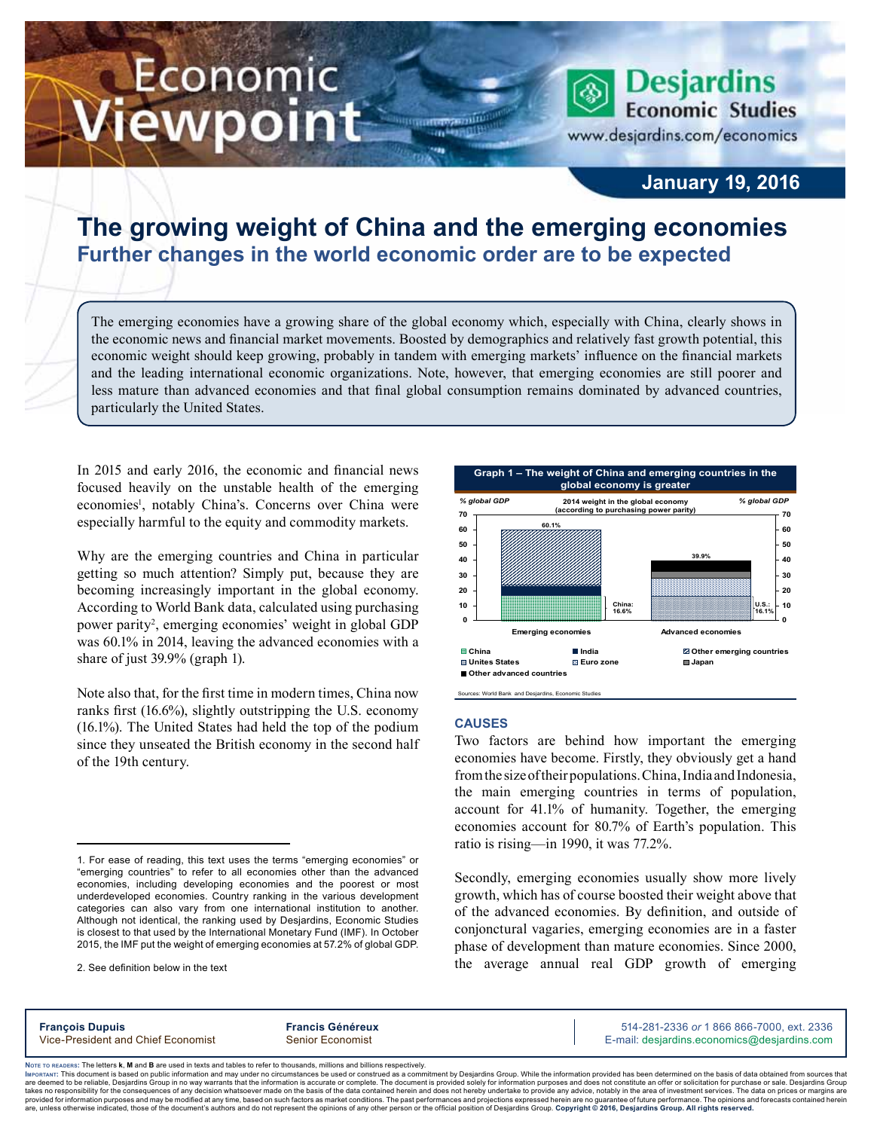# Economic ewpoint



### **January 19, 2016**

## **The growing weight of China and the emerging economies Further changes in the world economic order are to be expected**

m

The emerging economies have a growing share of the global economy which, especially with China, clearly shows in the economic news and financial market movements. Boosted by demographics and relatively fast growth potential, this economic weight should keep growing, probably in tandem with emerging markets' influence on the financial markets and the leading international economic organizations. Note, however, that emerging economies are still poorer and less mature than advanced economies and that final global consumption remains dominated by advanced countries, particularly the United States.

In 2015 and early 2016, the economic and financial news focused heavily on the unstable health of the emerging economies<sup>1</sup>, notably China's. Concerns over China were especially harmful to the equity and commodity markets.

Why are the emerging countries and China in particular getting so much attention? Simply put, because they are becoming increasingly important in the global economy. According to World Bank data, calculated using purchasing power parity<sup>2</sup>, emerging economies' weight in global GDP was 60.1% in 2014, leaving the advanced economies with a share of just 39.9% (graph 1).

Note also that, for the first time in modern times, China now ranks first (16.6%), slightly outstripping the U.S. economy (16.1%). The United States had held the top of the podium since they unseated the British economy in the second half of the 19th century.



Sources: World Bank and Desjardins, Econo

#### **Causes**

Two factors are behind how important the emerging economies have become. Firstly, they obviously get a hand from the size of their populations. China, India and Indonesia, the main emerging countries in terms of population, account for 41.1% of humanity. Together, the emerging economies account for 80.7% of Earth's population. This ratio is rising—in 1990, it was 77.2%.

Secondly, emerging economies usually show more lively growth, which has of course boosted their weight above that of the advanced economies. By definition, and outside of conjonctural vagaries, emerging economies are in a faster phase of development than mature economies. Since 2000, the average annual real GDP growth of emerging

**François Dupuis Francis Généreux** 514-281-2336 *or* 1 866 866-7000, ext. 2336

Vice-President and Chief Economist Senior Economist Senior Economist E-mail: desjardins.economics@desjardins.com

Noте то келоекs: The letters **k, M** and **B** are used in texts and tables to refer to thousands, millions and billions respectively.<br>Імроктлит: This document is based on public information and may under no circumstances be are deemed to be reliable. Desiardins Group in no way warrants that the information is accurate or complete. The document is provided solely for information purposes and does not constitute an offer or solicitation for pur takes no responsibility for the consequences of any decision whatsoever made on the basis of the data contained herein and does not hereby undertake to provide any advice, notably in the area of investment services. The da

<sup>1.</sup> For ease of reading, this text uses the terms "emerging economies" or "emerging countries" to refer to all economies other than the advanced economies, including developing economies and the poorest or most underdeveloped economies. Country ranking in the various development categories can also vary from one international institution to another. Although not identical, the ranking used by Desjardins, Economic Studies is closest to that used by the International Monetary Fund (IMF). In October 2015, the IMF put the weight of emerging economies at 57.2% of global GDP.

<sup>2.</sup> See definition below in the text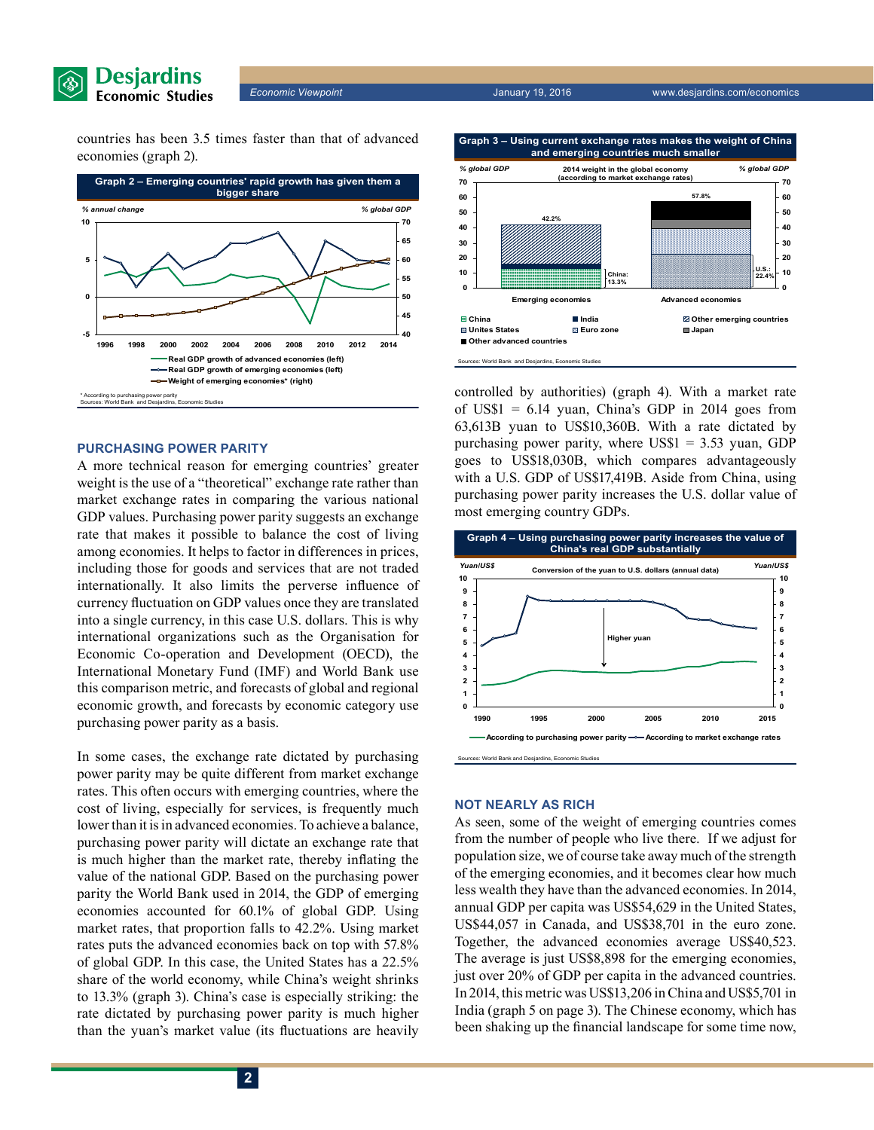

*Economic Viewpoint* January 19, 2016 www.desjardins.com/economics

countries has been 3.5 times faster than that of advanced economies (graph 2).



#### **Purchasing power parity**

A more technical reason for emerging countries' greater weight is the use of a "theoretical" exchange rate rather than market exchange rates in comparing the various national GDP values. Purchasing power parity suggests an exchange rate that makes it possible to balance the cost of living among economies. It helps to factor in differences in prices, including those for goods and services that are not traded internationally. It also limits the perverse influence of currency fluctuation on GDP values once they are translated into a single currency, in this case U.S. dollars. This is why international organizations such as the Organisation for Economic Co-operation and Development (OECD), the International Monetary Fund (IMF) and World Bank use this comparison metric, and forecasts of global and regional economic growth, and forecasts by economic category use purchasing power parity as a basis.

In some cases, the exchange rate dictated by purchasing power parity may be quite different from market exchange rates. This often occurs with emerging countries, where the cost of living, especially for services, is frequently much lower than it is in advanced economies. To achieve a balance, purchasing power parity will dictate an exchange rate that is much higher than the market rate, thereby inflating the value of the national GDP. Based on the purchasing power parity the World Bank used in 2014, the GDP of emerging economies accounted for 60.1% of global GDP. Using market rates, that proportion falls to 42.2%. Using market rates puts the advanced economies back on top with 57.8% of global GDP. In this case, the United States has a 22.5% share of the world economy, while China's weight shrinks to 13.3% (graph 3). China's case is especially striking: the rate dictated by purchasing power parity is much higher than the yuan's market value (its fluctuations are heavily

**2**



controlled by authorities) (graph 4). With a market rate of US\$1  $= 6.14$  yuan, China's GDP in 2014 goes from 63,613B yuan to US\$10,360B. With a rate dictated by purchasing power parity, where  $USS1 = 3.53$  yuan, GDP goes to US\$18,030B, which compares advantageously with a U.S. GDP of US\$17,419B. Aside from China, using purchasing power parity increases the U.S. dollar value of most emerging country GDPs.



#### **Not nearly as rich**

As seen, some of the weight of emerging countries comes from the number of people who live there. If we adjust for population size, we of course take away much of the strength of the emerging economies, and it becomes clear how much less wealth they have than the advanced economies. In 2014, annual GDP per capita was US\$54,629 in the United States, US\$44,057 in Canada, and US\$38,701 in the euro zone. Together, the advanced economies average US\$40,523. The average is just US\$8,898 for the emerging economies, just over 20% of GDP per capita in the advanced countries. In 2014, thismetric was US\$13,206 inChina and US\$5,701 in India (graph 5 on page 3). The Chinese economy, which has been shaking up the financial landscape for some time now,